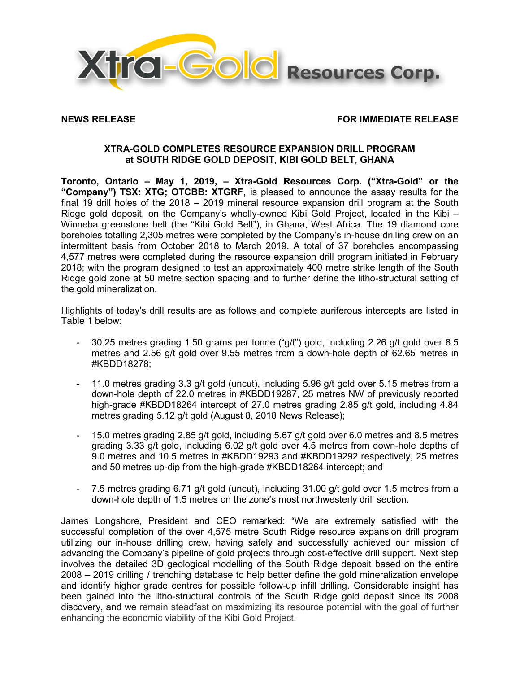

# **NEWS RELEASE FOR IMMEDIATE RELEASE**

# **XTRA-GOLD COMPLETES RESOURCE EXPANSION DRILL PROGRAM at SOUTH RIDGE GOLD DEPOSIT, KIBI GOLD BELT, GHANA**

**Toronto, Ontario – May 1, 2019, – Xtra-Gold Resources Corp. ("Xtra-Gold" or the "Company") TSX: XTG; OTCBB: XTGRF,** is pleased to announce the assay results for the final 19 drill holes of the 2018 – 2019 mineral resource expansion drill program at the South Ridge gold deposit, on the Company's wholly-owned Kibi Gold Project, located in the Kibi – Winneba greenstone belt (the "Kibi Gold Belt"), in Ghana, West Africa. The 19 diamond core boreholes totalling 2,305 metres were completed by the Company's in-house drilling crew on an intermittent basis from October 2018 to March 2019. A total of 37 boreholes encompassing 4,577 metres were completed during the resource expansion drill program initiated in February 2018; with the program designed to test an approximately 400 metre strike length of the South Ridge gold zone at 50 metre section spacing and to further define the litho-structural setting of the gold mineralization.

Highlights of today's drill results are as follows and complete auriferous intercepts are listed in Table 1 below:

- 30.25 metres grading 1.50 grams per tonne ("g/t") gold, including 2.26 g/t gold over 8.5 metres and 2.56 g/t gold over 9.55 metres from a down-hole depth of 62.65 metres in #KBDD18278;
- 11.0 metres grading 3.3 g/t gold (uncut), including 5.96 g/t gold over 5.15 metres from a down-hole depth of 22.0 metres in #KBDD19287, 25 metres NW of previously reported high-grade #KBDD18264 intercept of 27.0 metres grading 2.85 g/t gold, including 4.84 metres grading 5.12 g/t gold (August 8, 2018 News Release);
- 15.0 metres grading 2.85 g/t gold, including 5.67 g/t gold over 6.0 metres and 8.5 metres grading 3.33 g/t gold, including 6.02 g/t gold over 4.5 metres from down-hole depths of 9.0 metres and 10.5 metres in #KBDD19293 and #KBDD19292 respectively, 25 metres and 50 metres up-dip from the high-grade #KBDD18264 intercept; and
- 7.5 metres grading 6.71 g/t gold (uncut), including 31.00 g/t gold over 1.5 metres from a down-hole depth of 1.5 metres on the zone's most northwesterly drill section.

James Longshore, President and CEO remarked: "We are extremely satisfied with the successful completion of the over 4,575 metre South Ridge resource expansion drill program utilizing our in-house drilling crew, having safely and successfully achieved our mission of advancing the Company's pipeline of gold projects through cost-effective drill support. Next step involves the detailed 3D geological modelling of the South Ridge deposit based on the entire 2008 – 2019 drilling / trenching database to help better define the gold mineralization envelope and identify higher grade centres for possible follow-up infill drilling. Considerable insight has been gained into the litho-structural controls of the South Ridge gold deposit since its 2008 discovery, and we remain steadfast on maximizing its resource potential with the goal of further enhancing the economic viability of the Kibi Gold Project.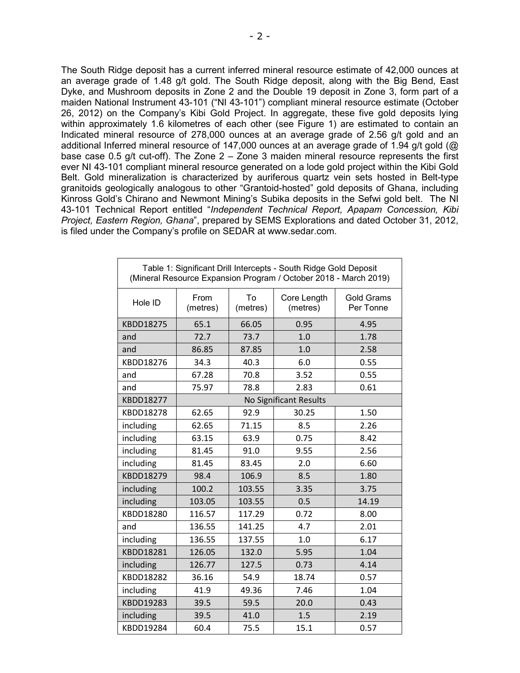The South Ridge deposit has a current inferred mineral resource estimate of 42,000 ounces at an average grade of 1.48 g/t gold. The South Ridge deposit, along with the Big Bend, East Dyke, and Mushroom deposits in Zone 2 and the Double 19 deposit in Zone 3, form part of a maiden National Instrument 43-101 ("NI 43-101") compliant mineral resource estimate (October 26, 2012) on the Company's Kibi Gold Project. In aggregate, these five gold deposits lying within approximately 1.6 kilometres of each other (see Figure 1) are estimated to contain an Indicated mineral resource of 278,000 ounces at an average grade of 2.56 g/t gold and an additional Inferred mineral resource of 147,000 ounces at an average grade of 1.94 g/t gold (@ base case 0.5 g/t cut-off). The Zone  $2 -$  Zone 3 maiden mineral resource represents the first ever NI 43-101 compliant mineral resource generated on a lode gold project within the Kibi Gold Belt. Gold mineralization is characterized by auriferous quartz vein sets hosted in Belt-type granitoids geologically analogous to other "Grantoid-hosted" gold deposits of Ghana, including Kinross Gold's Chirano and Newmont Mining's Subika deposits in the Sefwi gold belt. The NI 43-101 Technical Report entitled "*Independent Technical Report, Apapam Concession, Kibi Project, Eastern Region, Ghana*", prepared by SEMS Explorations and dated October 31, 2012, is filed under the Company's profile on SEDAR at [www.sedar.com.](http://www.sedar.com/)

| Table 1: Significant Drill Intercepts - South Ridge Gold Deposit<br>(Mineral Resource Expansion Program / October 2018 - March 2019) |                        |                |                         |                                |  |  |
|--------------------------------------------------------------------------------------------------------------------------------------|------------------------|----------------|-------------------------|--------------------------------|--|--|
| Hole ID                                                                                                                              | From<br>(metres)       | To<br>(metres) | Core Length<br>(metres) | <b>Gold Grams</b><br>Per Tonne |  |  |
| KBDD18275                                                                                                                            | 65.1                   | 66.05          | 0.95                    | 4.95                           |  |  |
| and                                                                                                                                  | 72.7                   | 73.7           | 1.0                     | 1.78                           |  |  |
| and                                                                                                                                  | 86.85                  | 87.85          | 1.0                     | 2.58                           |  |  |
| KBDD18276                                                                                                                            | 34.3                   | 40.3           | 6.0                     | 0.55                           |  |  |
| and                                                                                                                                  | 67.28                  | 70.8           | 3.52                    | 0.55                           |  |  |
| and                                                                                                                                  | 75.97                  | 78.8           | 2.83                    | 0.61                           |  |  |
| KBDD18277                                                                                                                            | No Significant Results |                |                         |                                |  |  |
| KBDD18278                                                                                                                            | 62.65                  | 92.9           | 30.25                   | 1.50                           |  |  |
| including                                                                                                                            | 62.65                  | 71.15          | 8.5                     | 2.26                           |  |  |
| including                                                                                                                            | 63.15                  | 63.9           | 0.75                    | 8.42                           |  |  |
| including                                                                                                                            | 81.45                  | 91.0           | 9.55                    | 2.56                           |  |  |
| including                                                                                                                            | 81.45                  | 83.45          | 2.0                     | 6.60                           |  |  |
| KBDD18279                                                                                                                            | 98.4                   | 106.9          | 8.5                     | 1.80                           |  |  |
| including                                                                                                                            | 100.2                  | 103.55         | 3.35                    | 3.75                           |  |  |
| including                                                                                                                            | 103.05                 | 103.55         | 0.5                     | 14.19                          |  |  |
| KBDD18280                                                                                                                            | 116.57                 | 117.29         | 0.72                    | 8.00                           |  |  |
| and                                                                                                                                  | 136.55                 | 141.25         | 4.7                     | 2.01                           |  |  |
| including                                                                                                                            | 136.55                 | 137.55         | 1.0                     | 6.17                           |  |  |
| KBDD18281                                                                                                                            | 126.05                 | 132.0          | 5.95                    | 1.04                           |  |  |
| including                                                                                                                            | 126.77                 | 127.5          | 0.73                    | 4.14                           |  |  |
| KBDD18282                                                                                                                            | 36.16                  | 54.9           | 18.74                   | 0.57                           |  |  |
| including                                                                                                                            | 41.9                   | 49.36          | 7.46                    | 1.04                           |  |  |
| KBDD19283                                                                                                                            | 39.5                   | 59.5           | 20.0                    | 0.43                           |  |  |
| including                                                                                                                            | 39.5                   | 41.0           | 1.5                     | 2.19                           |  |  |
| KBDD19284                                                                                                                            | 60.4                   | 75.5           | 15.1                    | 0.57                           |  |  |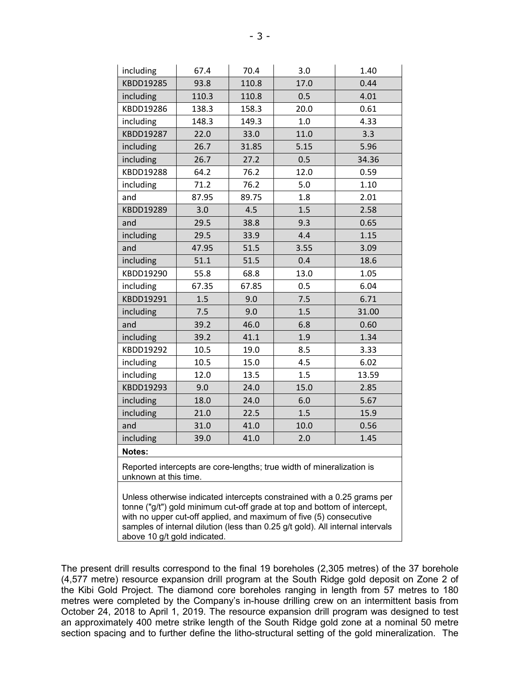| including                                                                                                                                                                                                                                                                                                   | 67.4  | 70.4  | 3.0  | 1.40  |  |  |
|-------------------------------------------------------------------------------------------------------------------------------------------------------------------------------------------------------------------------------------------------------------------------------------------------------------|-------|-------|------|-------|--|--|
| KBDD19285                                                                                                                                                                                                                                                                                                   | 93.8  | 110.8 | 17.0 | 0.44  |  |  |
| including                                                                                                                                                                                                                                                                                                   | 110.3 | 110.8 | 0.5  | 4.01  |  |  |
| KBDD19286                                                                                                                                                                                                                                                                                                   | 138.3 | 158.3 | 20.0 | 0.61  |  |  |
| including                                                                                                                                                                                                                                                                                                   | 148.3 | 149.3 | 1.0  | 4.33  |  |  |
| KBDD19287                                                                                                                                                                                                                                                                                                   | 22.0  | 33.0  | 11.0 | 3.3   |  |  |
| including                                                                                                                                                                                                                                                                                                   | 26.7  | 31.85 | 5.15 | 5.96  |  |  |
| including                                                                                                                                                                                                                                                                                                   | 26.7  | 27.2  | 0.5  | 34.36 |  |  |
| KBDD19288                                                                                                                                                                                                                                                                                                   | 64.2  | 76.2  | 12.0 | 0.59  |  |  |
| including                                                                                                                                                                                                                                                                                                   | 71.2  | 76.2  | 5.0  | 1.10  |  |  |
| and                                                                                                                                                                                                                                                                                                         | 87.95 | 89.75 | 1.8  | 2.01  |  |  |
| KBDD19289                                                                                                                                                                                                                                                                                                   | 3.0   | 4.5   | 1.5  | 2.58  |  |  |
| and                                                                                                                                                                                                                                                                                                         | 29.5  | 38.8  | 9.3  | 0.65  |  |  |
| including                                                                                                                                                                                                                                                                                                   | 29.5  | 33.9  | 4.4  | 1.15  |  |  |
| and                                                                                                                                                                                                                                                                                                         | 47.95 | 51.5  | 3.55 | 3.09  |  |  |
| including                                                                                                                                                                                                                                                                                                   | 51.1  | 51.5  | 0.4  | 18.6  |  |  |
| KBDD19290                                                                                                                                                                                                                                                                                                   | 55.8  | 68.8  | 13.0 | 1.05  |  |  |
| including                                                                                                                                                                                                                                                                                                   | 67.35 | 67.85 | 0.5  | 6.04  |  |  |
| KBDD19291                                                                                                                                                                                                                                                                                                   | 1.5   | 9.0   | 7.5  | 6.71  |  |  |
| including                                                                                                                                                                                                                                                                                                   | 7.5   | 9.0   | 1.5  | 31.00 |  |  |
| and                                                                                                                                                                                                                                                                                                         | 39.2  | 46.0  | 6.8  | 0.60  |  |  |
| including                                                                                                                                                                                                                                                                                                   | 39.2  | 41.1  | 1.9  | 1.34  |  |  |
| KBDD19292                                                                                                                                                                                                                                                                                                   | 10.5  | 19.0  | 8.5  | 3.33  |  |  |
| including                                                                                                                                                                                                                                                                                                   | 10.5  | 15.0  | 4.5  | 6.02  |  |  |
| including                                                                                                                                                                                                                                                                                                   | 12.0  | 13.5  | 1.5  | 13.59 |  |  |
| KBDD19293                                                                                                                                                                                                                                                                                                   | 9.0   | 24.0  | 15.0 | 2.85  |  |  |
| including                                                                                                                                                                                                                                                                                                   | 18.0  | 24.0  | 6.0  | 5.67  |  |  |
| including                                                                                                                                                                                                                                                                                                   | 21.0  | 22.5  | 1.5  | 15.9  |  |  |
| and                                                                                                                                                                                                                                                                                                         | 31.0  | 41.0  | 10.0 | 0.56  |  |  |
| including                                                                                                                                                                                                                                                                                                   | 39.0  | 41.0  | 2.0  | 1.45  |  |  |
| Notes:                                                                                                                                                                                                                                                                                                      |       |       |      |       |  |  |
| Reported intercepts are core-lengths; true width of mineralization is<br>unknown at this time.                                                                                                                                                                                                              |       |       |      |       |  |  |
| Unless otherwise indicated intercepts constrained with a 0.25 grams per<br>tonne ("g/t") gold minimum cut-off grade at top and bottom of intercept,<br>with no upper cut-off applied, and maximum of five (5) consecutive<br>samples of internal dilution (less than 0.25 g/t gold). All internal intervals |       |       |      |       |  |  |

above 10 g/t gold indicated.

The present drill results correspond to the final 19 boreholes (2,305 metres) of the 37 borehole (4,577 metre) resource expansion drill program at the South Ridge gold deposit on Zone 2 of the Kibi Gold Project. The diamond core boreholes ranging in length from 57 metres to 180 metres were completed by the Company's in-house drilling crew on an intermittent basis from October 24, 2018 to April 1, 2019. The resource expansion drill program was designed to test an approximately 400 metre strike length of the South Ridge gold zone at a nominal 50 metre section spacing and to further define the litho-structural setting of the gold mineralization. The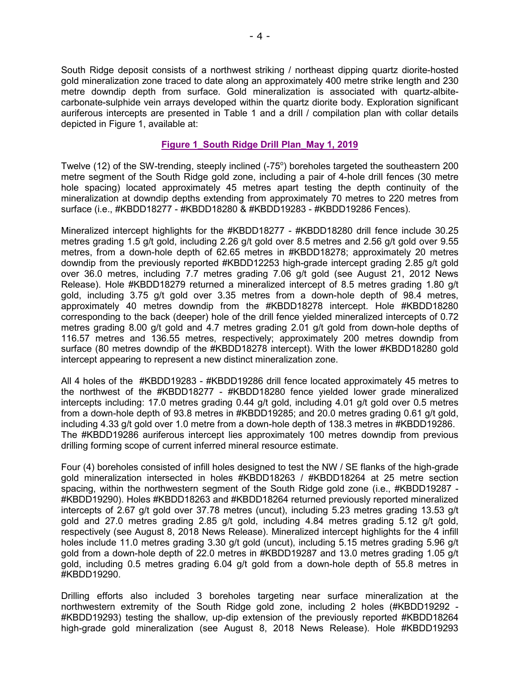South Ridge deposit consists of a northwest striking / northeast dipping quartz diorite-hosted gold mineralization zone traced to date along an approximately 400 metre strike length and 230 metre downdip depth from surface. Gold mineralization is associated with quartz-albitecarbonate-sulphide vein arrays developed within the quartz diorite body. Exploration significant auriferous intercepts are presented in Table 1 and a drill / compilation plan with collar details depicted in Figure 1, available at:

# **[Figure 1\\_South Ridge Drill Plan\\_May 1,](http://www.xtragold.com/NewsReleases/Figure%201%20South%20Ridge%20Drill%20Plan%20Final%20May%201,%202019.pdf) 2019**

Twelve (12) of the SW-trending, steeply inclined (-75 $^{\circ}$ ) boreholes targeted the southeastern 200 metre segment of the South Ridge gold zone, including a pair of 4-hole drill fences (30 metre hole spacing) located approximately 45 metres apart testing the depth continuity of the mineralization at downdip depths extending from approximately 70 metres to 220 metres from surface (i.e., #KBDD18277 - #KBDD18280 & #KBDD19283 - #KBDD19286 Fences).

Mineralized intercept highlights for the #KBDD18277 - #KBDD18280 drill fence include 30.25 metres grading 1.5 g/t gold, including 2.26 g/t gold over 8.5 metres and 2.56 g/t gold over 9.55 metres, from a down-hole depth of 62.65 metres in #KBDD18278; approximately 20 metres downdip from the previously reported #KBDD12253 high-grade intercept grading 2.85 g/t gold over 36.0 metres, including 7.7 metres grading 7.06 g/t gold (see August 21, 2012 News Release). Hole #KBDD18279 returned a mineralized intercept of 8.5 metres grading 1.80 g/t gold, including 3.75 g/t gold over 3.35 metres from a down-hole depth of 98.4 metres, approximately 40 metres downdip from the #KBDD18278 intercept. Hole #KBDD18280 corresponding to the back (deeper) hole of the drill fence yielded mineralized intercepts of 0.72 metres grading 8.00 g/t gold and 4.7 metres grading 2.01 g/t gold from down-hole depths of 116.57 metres and 136.55 metres, respectively; approximately 200 metres downdip from surface (80 metres downdip of the #KBDD18278 intercept). With the lower #KBDD18280 gold intercept appearing to represent a new distinct mineralization zone.

All 4 holes of the #KBDD19283 - #KBDD19286 drill fence located approximately 45 metres to the northwest of the #KBDD18277 - #KBDD18280 fence yielded lower grade mineralized intercepts including: 17.0 metres grading 0.44 g/t gold, including 4.01 g/t gold over 0.5 metres from a down-hole depth of 93.8 metres in #KBDD19285; and 20.0 metres grading 0.61 g/t gold, including 4.33 g/t gold over 1.0 metre from a down-hole depth of 138.3 metres in #KBDD19286. The #KBDD19286 auriferous intercept lies approximately 100 metres downdip from previous drilling forming scope of current inferred mineral resource estimate.

Four (4) boreholes consisted of infill holes designed to test the NW / SE flanks of the high-grade gold mineralization intersected in holes #KBDD18263 / #KBDD18264 at 25 metre section spacing, within the northwestern segment of the South Ridge gold zone (i.e., #KBDD19287 - #KBDD19290). Holes #KBDD18263 and #KBDD18264 returned previously reported mineralized intercepts of 2.67 g/t gold over 37.78 metres (uncut), including 5.23 metres grading 13.53 g/t gold and 27.0 metres grading 2.85 g/t gold, including 4.84 metres grading 5.12 g/t gold, respectively (see August 8, 2018 News Release). Mineralized intercept highlights for the 4 infill holes include 11.0 metres grading 3.30 g/t gold (uncut), including 5.15 metres grading 5.96 g/t gold from a down-hole depth of 22.0 metres in #KBDD19287 and 13.0 metres grading 1.05 g/t gold, including 0.5 metres grading 6.04 g/t gold from a down-hole depth of 55.8 metres in #KBDD19290.

Drilling efforts also included 3 boreholes targeting near surface mineralization at the northwestern extremity of the South Ridge gold zone, including 2 holes (#KBDD19292 - #KBDD19293) testing the shallow, up-dip extension of the previously reported #KBDD18264 high-grade gold mineralization (see August 8, 2018 News Release). Hole #KBDD19293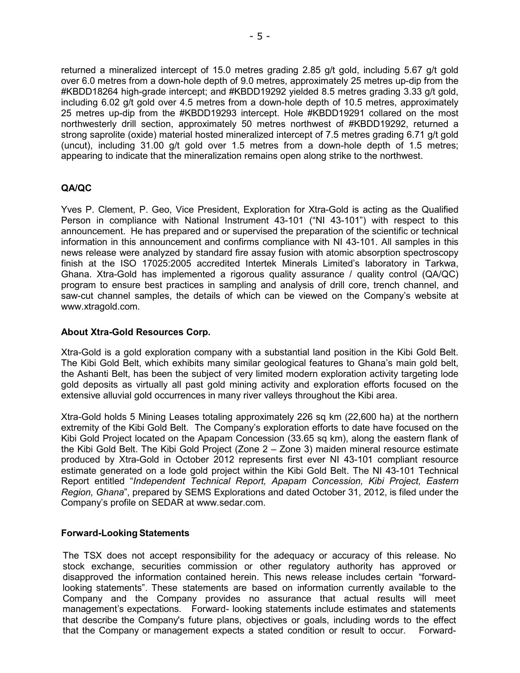returned a mineralized intercept of 15.0 metres grading 2.85 g/t gold, including 5.67 g/t gold over 6.0 metres from a down-hole depth of 9.0 metres, approximately 25 metres up-dip from the #KBDD18264 high-grade intercept; and #KBDD19292 yielded 8.5 metres grading 3.33 g/t gold, including 6.02 g/t gold over 4.5 metres from a down-hole depth of 10.5 metres, approximately 25 metres up-dip from the #KBDD19293 intercept. Hole #KBDD19291 collared on the most northwesterly drill section, approximately 50 metres northwest of #KBDD19292, returned a strong saprolite (oxide) material hosted mineralized intercept of 7.5 metres grading 6.71 g/t gold (uncut), including 31.00 g/t gold over 1.5 metres from a down-hole depth of 1.5 metres; appearing to indicate that the mineralization remains open along strike to the northwest.

# **QA/QC**

Yves P. Clement, P. Geo, Vice President, Exploration for Xtra-Gold is acting as the Qualified Person in compliance with National Instrument 43-101 ("NI 43-101") with respect to this announcement. He has prepared and or supervised the preparation of the scientific or technical information in this announcement and confirms compliance with NI 43-101. All samples in this news release were analyzed by standard fire assay fusion with atomic absorption spectroscopy finish at the ISO 17025:2005 accredited Intertek Minerals Limited's laboratory in Tarkwa, Ghana. Xtra-Gold has implemented a rigorous quality assurance / quality control (QA/QC) program to ensure best practices in sampling and analysis of drill core, trench channel, and saw-cut channel samples, the details of which can be viewed on the Company's website at [www.xtragold.com.](http://www.xtragold.com/)

# **About Xtra-Gold Resources Corp.**

Xtra-Gold is a gold exploration company with a substantial land position in the Kibi Gold Belt. The Kibi Gold Belt, which exhibits many similar geological features to Ghana's main gold belt, the Ashanti Belt, has been the subject of very limited modern exploration activity targeting lode gold deposits as virtually all past gold mining activity and exploration efforts focused on the extensive alluvial gold occurrences in many river valleys throughout the Kibi area.

Xtra-Gold holds 5 Mining Leases totaling approximately 226 sq km (22,600 ha) at the northern extremity of the Kibi Gold Belt. The Company's exploration efforts to date have focused on the Kibi Gold Project located on the Apapam Concession (33.65 sq km), along the eastern flank of the Kibi Gold Belt. The Kibi Gold Project (Zone 2 – Zone 3) maiden mineral resource estimate produced by Xtra-Gold in October 2012 represents first ever NI 43-101 compliant resource estimate generated on a lode gold project within the Kibi Gold Belt. The NI 43-101 Technical Report entitled "*Independent Technical Report, Apapam Concession, Kibi Project, Eastern Region, Ghana*", prepared by SEMS Explorations and dated October 31, 2012, is filed under the Company's profile on SEDAR at [www.sedar.com.](http://www.sedar.com/)

# **Forward-Looking Statements**

The TSX does not accept responsibility for the adequacy or accuracy of this release. No stock exchange, securities commission or other regulatory authority has approved or disapproved the information contained herein. This news release includes certain "forwardlooking statements". These statements are based on information currently available to the Company and the Company provides no assurance that actual results will meet management's expectations. Forward- looking statements include estimates and statements that describe the Company's future plans, objectives or goals, including words to the effect that the Company or management expects a stated condition or result to occur. Forward-